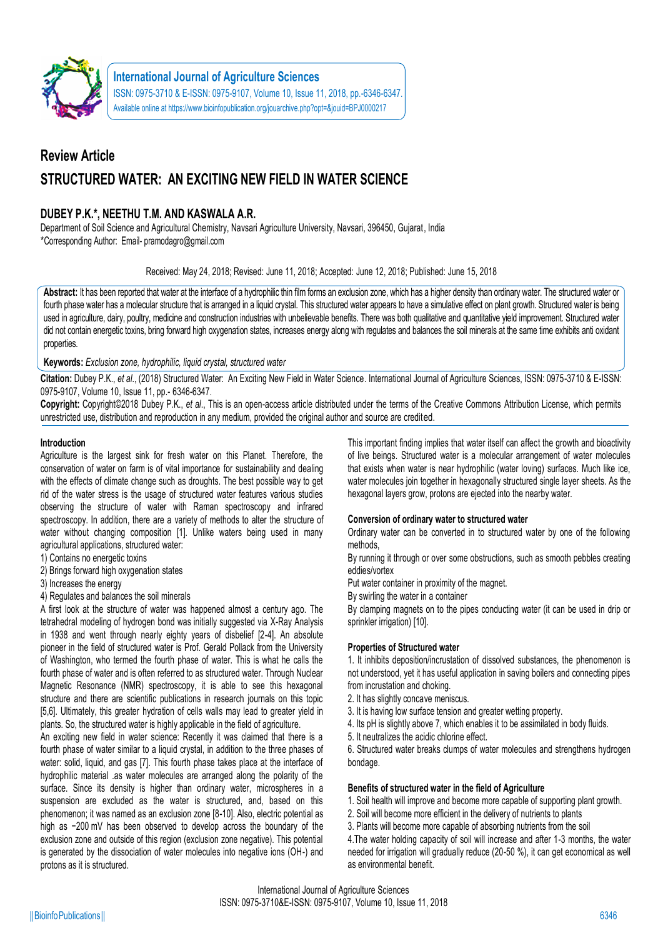

# **Review Article STRUCTURED WATER: AN EXCITING NEW FIELD IN WATER SCIENCE**

# **DUBEY P.K.\*, NEETHU T.M. AND KASWALA A.R.**

Department of Soil Science and Agricultural Chemistry, Navsari Agriculture University, Navsari, 396450, Gujarat, India \*Corresponding Author: Email- pramodagro@gmail.com

Received: May 24, 2018; Revised: June 11, 2018; Accepted: June 12, 2018; Published: June 15, 2018

**Abstract:** It has been reported that water at the interface of a hydrophilic thin film forms an exclusion zone, which has a higher density than ordinary water. The structured water or fourth phase water has a molecular structure that is arranged in a liquid crystal. This structured water appears to have a simulative effect on plant growth. Structured water is being used in agriculture, dairy, poultry, medicine and construction industries with unbelievable benefits. There was both qualitative and quantitative yield improvement. Structured water did not contain energetic toxins, bring forward high oxygenation states, increases energy along with regulates and balances the soil minerals at the same time exhibits anti oxidant properties.

# **Keywords:** *Exclusion zone, hydrophilic, liquid crystal, structured water*

**Citation:** Dubey P.K., *et al*., (2018) Structured Water: An Exciting New Field in Water Science*.* International Journal of Agriculture Sciences, ISSN: 0975-3710 & E-ISSN: 0975-9107, Volume 10, Issue 11, pp.- 6346-6347.

**Copyright:** Copyright©2018 Dubey P.K., *et al*., This is an open-access article distributed under the terms of the Creative Commons Attribution License, which permits unrestricted use, distribution and reproduction in any medium, provided the original author and source are credited.

# **Introduction**

Agriculture is the largest sink for fresh water on this Planet. Therefore, the conservation of water on farm is of vital importance for sustainability and dealing with the effects of climate change such as droughts. The best possible way to get rid of the water stress is the usage of structured water features various studies observing the structure of water with Raman spectroscopy and infrared spectroscopy. In addition, there are a variety of methods to alter the structure of water without changing composition [1]. Unlike waters being used in many agricultural applications, structured water:

- 1) Contains no energetic toxins
- 2) Brings forward high oxygenation states
- 3) Increases the energy
- 4) Regulates and balances the soil minerals

A first look at the structure of water was happened almost a century ago. The tetrahedral modeling of hydrogen bond was initially suggested via X-Ray Analysis in 1938 and went through nearly eighty years of disbelief [2-4]. An absolute pioneer in the field of structured water is Prof. Gerald Pollack from the University of Washington, who termed the fourth phase of water. This is what he calls the fourth phase of water and is often referred to as structured water. Through Nuclear Magnetic Resonance (NMR) spectroscopy, it is able to see this hexagonal structure and there are scientific publications in research journals on this topic [5,6]. Ultimately, this greater hydration of cells walls may lead to greater yield in plants. So, the structured water is highly applicable in the field of agriculture.

An exciting new field in water science: Recently it was claimed that there is a fourth phase of water similar to a liquid crystal, in addition to the three phases of water: solid, liquid, and gas [7]. This fourth phase takes place at the interface of hydrophilic material .as water molecules are arranged along the polarity of the surface. Since its density is higher than ordinary water, microspheres in a suspension are excluded as the water is structured, and, based on this phenomenon; it was named as an exclusion zone [8-10]. Also, electric potential as high as −200 mV has been observed to develop across the boundary of the exclusion zone and outside of this region (exclusion zone negative). This potential is generated by the dissociation of water molecules into negative ions (OH-) and protons as it is structured.

This important finding implies that water itself can affect the growth and bioactivity of live beings. Structured water is a molecular arrangement of water molecules that exists when water is near hydrophilic (water loving) surfaces. Much like ice, water molecules join together in hexagonally structured single layer sheets. As the hexagonal layers grow, protons are ejected into the nearby water.

# **Conversion of ordinary water to structured water**

Ordinary water can be converted in to structured water by one of the following methods,

By running it through or over some obstructions, such as smooth pebbles creating eddies/vortex

Put water container in proximity of the magnet.

By swirling the water in a container

By clamping magnets on to the pipes conducting water (it can be used in drip or sprinkler irrigation) [10].

# **Properties of Structured water**

1. It inhibits deposition/incrustation of dissolved substances, the phenomenon is not understood, yet it has useful application in saving boilers and connecting pipes from incrustation and choking.

- 2. It has slightly concave meniscus.
- 3. It is having low surface tension and greater wetting property.
- 4. Its pH is slightly above 7, which enables it to be assimilated in body fluids.
- 5. It neutralizes the acidic chlorine effect.

6. Structured water breaks clumps of water molecules and strengthens hydrogen bondage.

# **Benefits of structured water in the field of Agriculture**

1. Soil health will improve and become more capable of supporting plant growth.

- 2. Soil will become more efficient in the delivery of nutrients to plants
- 3. Plants will become more capable of absorbing nutrients from the soil

4.The water holding capacity of soil will increase and after 1-3 months, the water needed for irrigation will gradually reduce (20-50 %), it can get economical as well as environmental benefit.